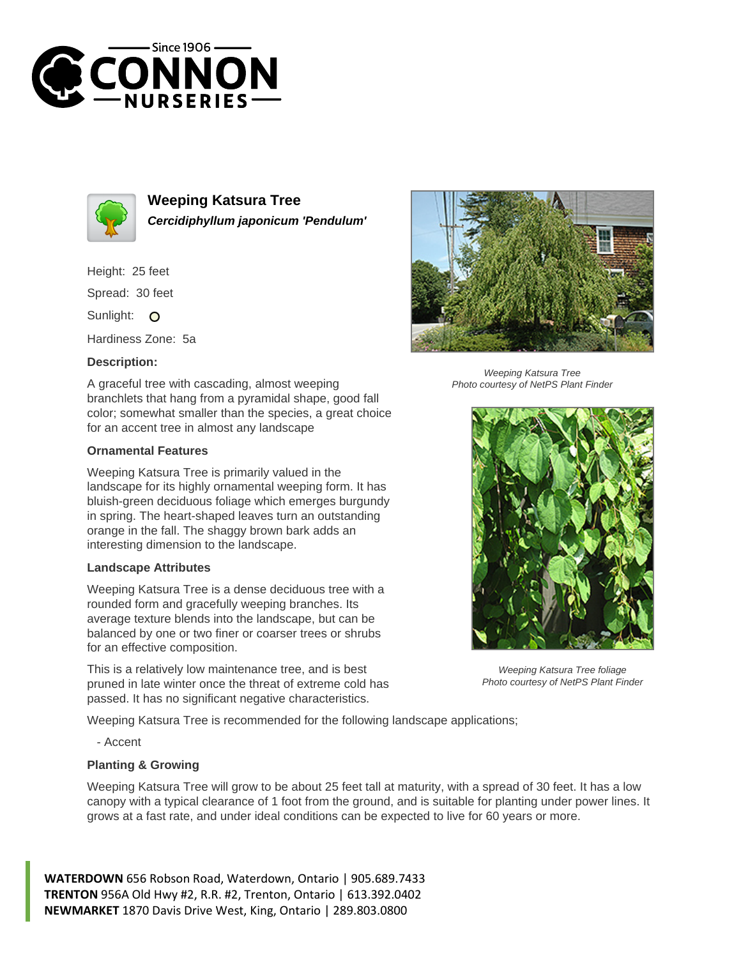



**Weeping Katsura Tree Cercidiphyllum japonicum 'Pendulum'**

Height: 25 feet

Spread: 30 feet

Sunlight: O

Hardiness Zone: 5a

## **Description:**

A graceful tree with cascading, almost weeping branchlets that hang from a pyramidal shape, good fall color; somewhat smaller than the species, a great choice for an accent tree in almost any landscape

## **Ornamental Features**

Weeping Katsura Tree is primarily valued in the landscape for its highly ornamental weeping form. It has bluish-green deciduous foliage which emerges burgundy in spring. The heart-shaped leaves turn an outstanding orange in the fall. The shaggy brown bark adds an interesting dimension to the landscape.

## **Landscape Attributes**

Weeping Katsura Tree is a dense deciduous tree with a rounded form and gracefully weeping branches. Its average texture blends into the landscape, but can be balanced by one or two finer or coarser trees or shrubs for an effective composition.

This is a relatively low maintenance tree, and is best pruned in late winter once the threat of extreme cold has passed. It has no significant negative characteristics.

Weeping Katsura Tree is recommended for the following landscape applications;

- Accent

## **Planting & Growing**

Weeping Katsura Tree will grow to be about 25 feet tall at maturity, with a spread of 30 feet. It has a low canopy with a typical clearance of 1 foot from the ground, and is suitable for planting under power lines. It grows at a fast rate, and under ideal conditions can be expected to live for 60 years or more.

**WATERDOWN** 656 Robson Road, Waterdown, Ontario | 905.689.7433 **TRENTON** 956A Old Hwy #2, R.R. #2, Trenton, Ontario | 613.392.0402 **NEWMARKET** 1870 Davis Drive West, King, Ontario | 289.803.0800



Weeping Katsura Tree Photo courtesy of NetPS Plant Finder



Weeping Katsura Tree foliage Photo courtesy of NetPS Plant Finder